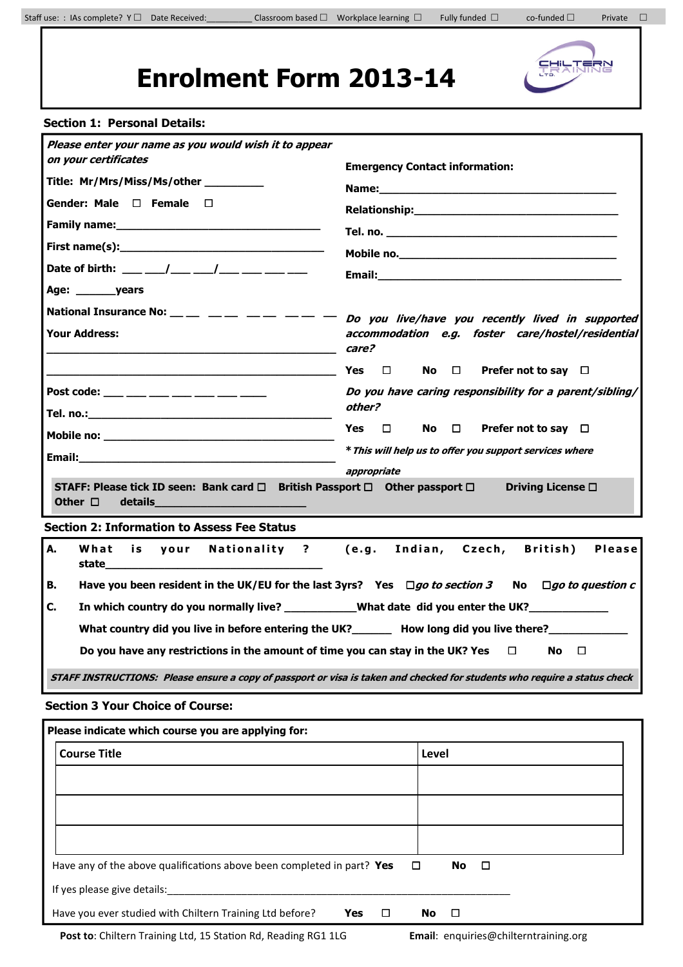Private  $\Box$ 

# Enrolment Form 2013-14

| CHILTERN<br>LTD. |  |
|------------------|--|
|                  |  |

#### Section 1: Personal Details:

| Please enter your name as you would wish it to appear<br>on your certificates                                                  | <b>Emergency Contact information:</b>                                                                                          |
|--------------------------------------------------------------------------------------------------------------------------------|--------------------------------------------------------------------------------------------------------------------------------|
| Title: Mr/Mrs/Miss/Ms/other _________                                                                                          |                                                                                                                                |
| Gender: Male $\Box$ Female $\Box$                                                                                              |                                                                                                                                |
|                                                                                                                                |                                                                                                                                |
|                                                                                                                                |                                                                                                                                |
| Date of birth: ___ __/___ __/___ ________ ____                                                                                 |                                                                                                                                |
| Age: years                                                                                                                     |                                                                                                                                |
|                                                                                                                                | National Insurance No: $\_\_\_\_$ - $\_\_\_\_$ - $\_\_\_$ - $\_\_\_$ - $\_\_$ Do you live/have you recently lived in supported |
| <b>Your Address:</b>                                                                                                           | accommodation e.g. foster care/hostel/residential<br>care?                                                                     |
|                                                                                                                                | Yes $\square$ No $\square$ Prefer not to say $\square$                                                                         |
| Post code: ___ ___ ___ ___ ___ ___ ___                                                                                         | Do you have caring responsibility for a parent/sibling/<br>other?                                                              |
|                                                                                                                                |                                                                                                                                |
|                                                                                                                                | Yes $\square$ No $\square$ Prefer not to say $\square$                                                                         |
|                                                                                                                                | * This will help us to offer you support services where                                                                        |
|                                                                                                                                | appropriate                                                                                                                    |
| STAFF: Please tick ID seen: Bank card □ British Passport □ Other passport □<br>Other $\square$ details _______________________ | Driving License $\square$                                                                                                      |
| <b>Section 2: Information to Assess Fee Status</b>                                                                             |                                                                                                                                |
|                                                                                                                                |                                                                                                                                |

#### A. What is your Nationality ? (e.g. Indian, Czech, British) Please state\_\_\_\_\_\_\_\_\_\_\_\_\_\_\_\_\_\_\_\_\_\_\_\_\_\_\_\_\_\_\_\_\_ B. Have you been resident in the UK/EU for the last 3yrs? Yes  $\Box go$  to section 3 No  $\Box$ No  $\Box$ go to question c C. In which country do you normally live? \_\_\_\_\_\_\_\_\_\_\_What date did you enter the UK? What country did you live in before entering the UK?\_\_\_\_\_\_\_\_\_\_ How long did you live there? Do you have any restrictions in the amount of time you can stay in the UK? Yes  $\Box$  No - $\Box$ STAFF INSTRUCTIONS: Please ensure a copy of passport or visa is taken and checked for students who require a status check

#### Section 3 Your Choice of Course:

Please indicate which course you are applying for: **Course Title** Level Have any of the above qualifications above been completed in part? Yes  $\Box$  No - $\Box$ If yes please give details: Have you ever studied with Chiltern Training Ltd before? Yes  $\Box$ No.  $\Box$ 

Post to: Chiltern Training Ltd, 15 Station Rd, Reading RG1 1LG **Email:** enquiries@chilterntraining.org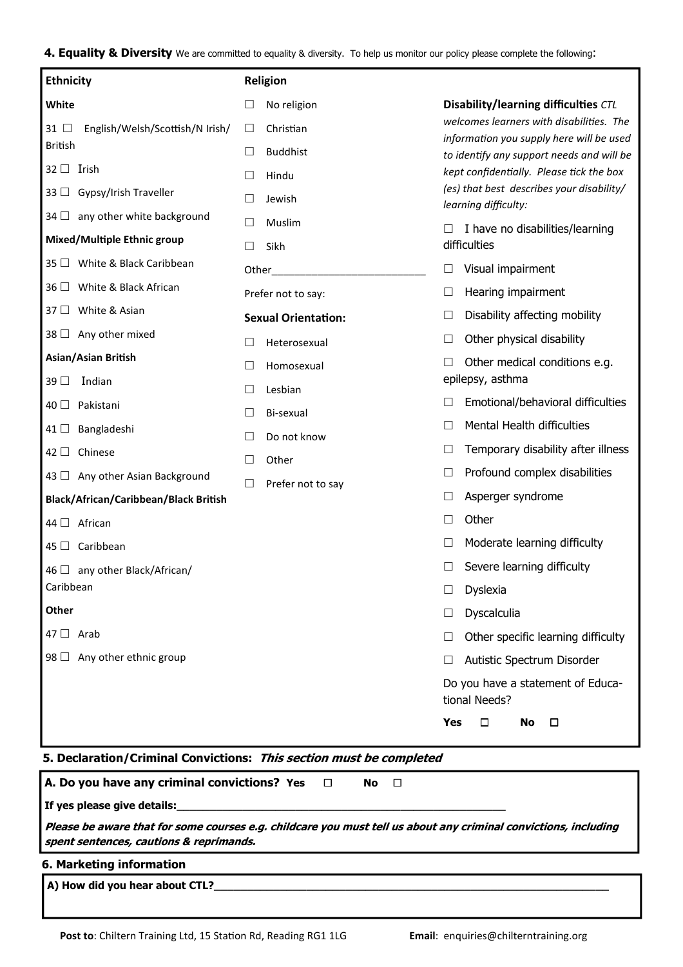4. Equality & Diversity We are committed to equality & diversity. To help us monitor our policy please complete the following:

| <b>Ethnicity</b>                               | Religion                    |                                                                                       |
|------------------------------------------------|-----------------------------|---------------------------------------------------------------------------------------|
| White                                          | No religion<br>⊔            | Disability/learning difficulties CTL                                                  |
| $31$ $\Box$<br>English/Welsh/Scottish/N Irish/ | Christian<br>ப              | welcomes learners with disabilities. The                                              |
| <b>British</b>                                 | <b>Buddhist</b><br>□        | information you supply here will be used<br>to identify any support needs and will be |
| Irish<br>$32 \Box$                             | Hindu<br>$\Box$             | kept confidentially. Please tick the box                                              |
| Gypsy/Irish Traveller<br>33 <sup>1</sup>       | Jewish<br>$\Box$            | (es) that best describes your disability/<br>learning difficulty:                     |
| any other white background<br>$34\Box$         | Muslim<br>□                 | I have no disabilities/learning                                                       |
| Mixed/Multiple Ethnic group                    | Sikh                        | difficulties                                                                          |
| White & Black Caribbean<br>35 <sup>0</sup>     | Other                       | Visual impairment                                                                     |
| White & Black African<br>$36\Box$              | Prefer not to say:          | Hearing impairment<br>Ш                                                               |
| White & Asian<br>37 <sup>°</sup>               | <b>Sexual Orientation:</b>  | Disability affecting mobility<br>⊔                                                    |
| 38 <sup>0</sup><br>Any other mixed             | Heterosexual<br>$\Box$      | Other physical disability                                                             |
| Asian/Asian British                            | Homosexual<br>$\Box$        | Other medical conditions e.g.                                                         |
| Indian<br>39 <sup>°</sup>                      | Lesbian<br>Ш                | epilepsy, asthma                                                                      |
| Pakistani<br>40 □                              | Bi-sexual<br>$\Box$         | Emotional/behavioral difficulties                                                     |
| Bangladeshi<br>$41 \Box$                       | □<br>Do not know            | Mental Health difficulties<br>$\Box$                                                  |
| Chinese<br>$42 \square$                        | Other<br>$\Box$             | Temporary disability after illness                                                    |
| 43 □ Any other Asian Background                | $\Box$<br>Prefer not to say | Profound complex disabilities                                                         |
| Black/African/Caribbean/Black British          |                             | Asperger syndrome                                                                     |
| 44 □ African                                   |                             | Other<br>Ш                                                                            |
| Caribbean<br>45 □                              |                             | Moderate learning difficulty                                                          |
| any other Black/African/<br>46 □               |                             | Severe learning difficulty                                                            |
| Caribbean                                      |                             | Dyslexia                                                                              |
| Other                                          |                             | Dyscalculia<br>$\Box$                                                                 |
| $47 \Box$ Arab                                 |                             | Other specific learning difficulty                                                    |
| 98 $\Box$ Any other ethnic group               |                             | Autistic Spectrum Disorder                                                            |
|                                                |                             | Do you have a statement of Educa-<br>tional Needs?                                    |
|                                                |                             | Yes<br>$\Box$<br>$\Box$<br>No                                                         |

#### 5. Declaration/Criminal Convictions: This section must be completed

| $\vert$ A. Do you have any criminal convictions? Yes $\Box$                                                                                                        | No $\square$ |  |
|--------------------------------------------------------------------------------------------------------------------------------------------------------------------|--------------|--|
| If yes please give details:                                                                                                                                        |              |  |
| $\vert$ Please be aware that for some courses e.g. childcare you must tell us about any criminal convictions, including<br>spent sentences, cautions & reprimands. |              |  |
| 6. Marketing information                                                                                                                                           |              |  |
| A) How did you hear about CTL?                                                                                                                                     |              |  |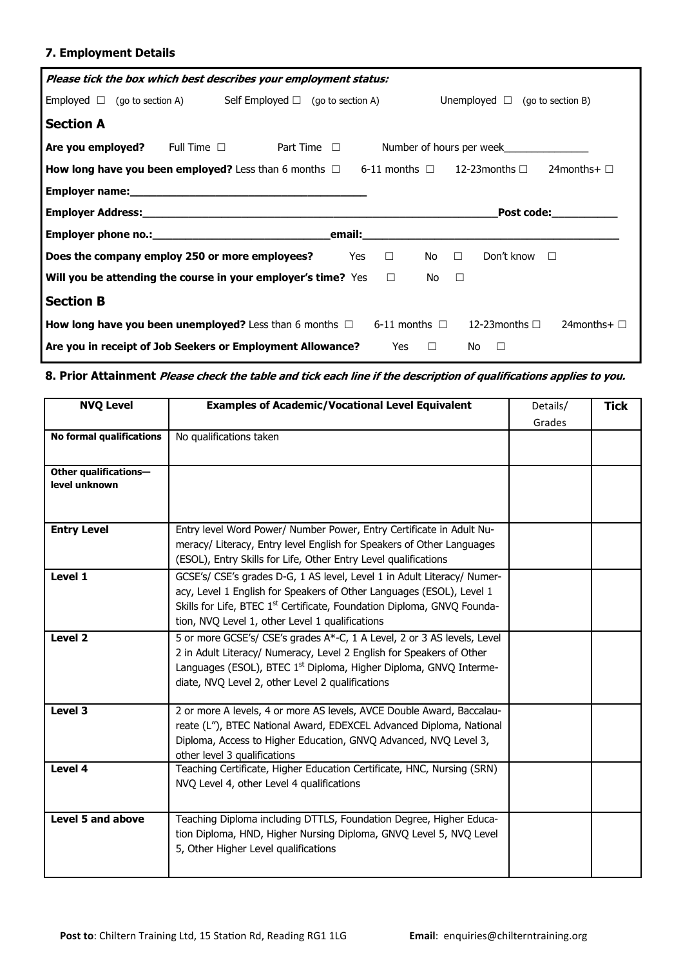## 7. Employment Details

| Please tick the box which best describes your employment status:         |                                                                                                          |                                         |  |
|--------------------------------------------------------------------------|----------------------------------------------------------------------------------------------------------|-----------------------------------------|--|
| Employed $\Box$ (go to section A) Self Employed $\Box$ (go to section A) |                                                                                                          | Unemployed $\Box$ (go to section B)     |  |
| <b>Section A</b>                                                         |                                                                                                          |                                         |  |
| <b>Are you employed?</b> Full Time $\Box$                                | Part Time $\Box$                                                                                         | Number of hours per week                |  |
|                                                                          | <b>How long have you been employed?</b> Less than 6 months $\Box$ 6-11 months $\Box$ 12-23 months $\Box$ | 24months+ $\Box$                        |  |
|                                                                          |                                                                                                          |                                         |  |
|                                                                          |                                                                                                          | <b>Post code: code</b>                  |  |
|                                                                          |                                                                                                          |                                         |  |
| Does the company employ 250 or more employees?                           | Yes<br>$\Box$                                                                                            | Don't know<br>No l<br>$\Box$<br>$\Box$  |  |
| Will you be attending the course in your employer's time? Yes            | $\Box$                                                                                                   | No.<br>$\Box$                           |  |
| <b>Section B</b>                                                         |                                                                                                          |                                         |  |
|                                                                          |                                                                                                          |                                         |  |
|                                                                          | How long have you been unemployed? Less than 6 months $\Box$ 6-11 months $\Box$                          | 12-23 months $\Box$<br>24months+ $\Box$ |  |

#### 8. Prior Attainment Please check the table and tick each line if the description of qualifications applies to you.

| <b>NVQ Level</b>                       | <b>Examples of Academic/Vocational Level Equivalent</b>                                                                                                                                                                                                                              | Details/ | <b>Tick</b> |
|----------------------------------------|--------------------------------------------------------------------------------------------------------------------------------------------------------------------------------------------------------------------------------------------------------------------------------------|----------|-------------|
|                                        |                                                                                                                                                                                                                                                                                      | Grades   |             |
| <b>No formal qualifications</b>        | No qualifications taken                                                                                                                                                                                                                                                              |          |             |
| Other qualifications-<br>level unknown |                                                                                                                                                                                                                                                                                      |          |             |
| <b>Entry Level</b>                     | Entry level Word Power/ Number Power, Entry Certificate in Adult Nu-<br>meracy/ Literacy, Entry level English for Speakers of Other Languages<br>(ESOL), Entry Skills for Life, Other Entry Level qualifications                                                                     |          |             |
| Level 1                                | GCSE's/ CSE's grades D-G, 1 AS level, Level 1 in Adult Literacy/ Numer-<br>acy, Level 1 English for Speakers of Other Languages (ESOL), Level 1<br>Skills for Life, BTEC 1st Certificate, Foundation Diploma, GNVQ Founda-<br>tion, NVQ Level 1, other Level 1 qualifications        |          |             |
| Level <sub>2</sub>                     | 5 or more GCSE's/ CSE's grades A*-C, 1 A Level, 2 or 3 AS levels, Level<br>2 in Adult Literacy/ Numeracy, Level 2 English for Speakers of Other<br>Languages (ESOL), BTEC 1 <sup>st</sup> Diploma, Higher Diploma, GNVQ Interme-<br>diate, NVQ Level 2, other Level 2 qualifications |          |             |
| Level 3                                | 2 or more A levels, 4 or more AS levels, AVCE Double Award, Baccalau-<br>reate (L"), BTEC National Award, EDEXCEL Advanced Diploma, National<br>Diploma, Access to Higher Education, GNVQ Advanced, NVQ Level 3,<br>other level 3 qualifications                                     |          |             |
| Level 4                                | Teaching Certificate, Higher Education Certificate, HNC, Nursing (SRN)<br>NVQ Level 4, other Level 4 qualifications                                                                                                                                                                  |          |             |
| Level 5 and above                      | Teaching Diploma including DTTLS, Foundation Degree, Higher Educa-<br>tion Diploma, HND, Higher Nursing Diploma, GNVQ Level 5, NVQ Level<br>5, Other Higher Level qualifications                                                                                                     |          |             |